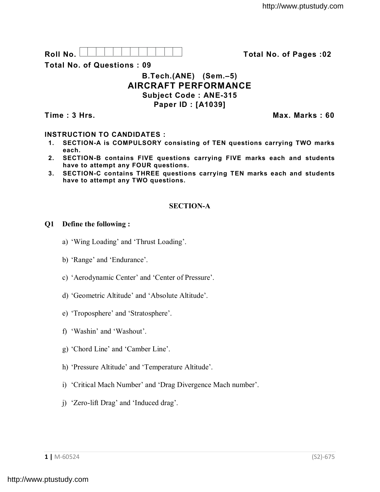

**Total No. of Questions : 09**

# **B.Tech.(ANE) (Sem.–5) AIRCRAFT PERFORMANCE Subject Code : ANE-315 Paper ID : [A1039]**

**Time : 3 Hrs. Max. Marks : 60**

# **INSTRUCTION TO CANDIDATES :**

- **1. SECTION-A is COMPULSORY consisting of TEN questions carrying TWO marks each.**
- **2. SECTION-B contains FIVE questions carrying FIVE marks each and students have to attempt any FOUR questions.**
- **3. SECTION-C contains THREE questions carrying TEN marks each and students have to attempt any TWO questions.**

# **SECTION-A**

### **Q1 Define the following :**

- a) 'Wing Loading' and 'Thrust Loading'.
- b) 'Range' and 'Endurance'.
- c) 'Aerodynamic Center' and 'Center of Pressure'.
- d) 'Geometric Altitude' and 'Absolute Altitude'.
- e) 'Troposphere' and 'Stratosphere'.
- f) 'Washin' and 'Washout'.
- g) 'Chord Line' and 'Camber Line'.
- h) 'Pressure Altitude' and 'Temperature Altitude'.
- i) 'Critical Mach Number' and 'Drag Divergence Mach number'.
- j) 'Zero-lift Drag' and 'Induced drag'.